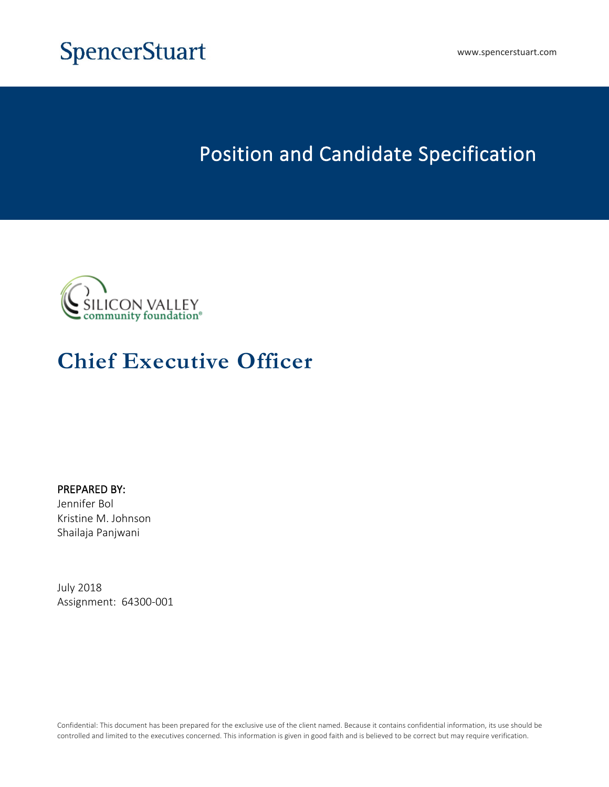

# **SpencerStuart**

# **Position and Candidate Specification**



# **Chief Executive Officer**

**PREPARED BY:** Jennifer Bol Kristine M. Johnson Shailaja Panjwani

July 2018 Assignment: 64300-001

Confidential: This document has been prepared for the exclusive use of the client named. Because it contains confidential information, its use should be controlled and limited to the executives concerned. This information is given in good faith and is believed to be correct but may require verification.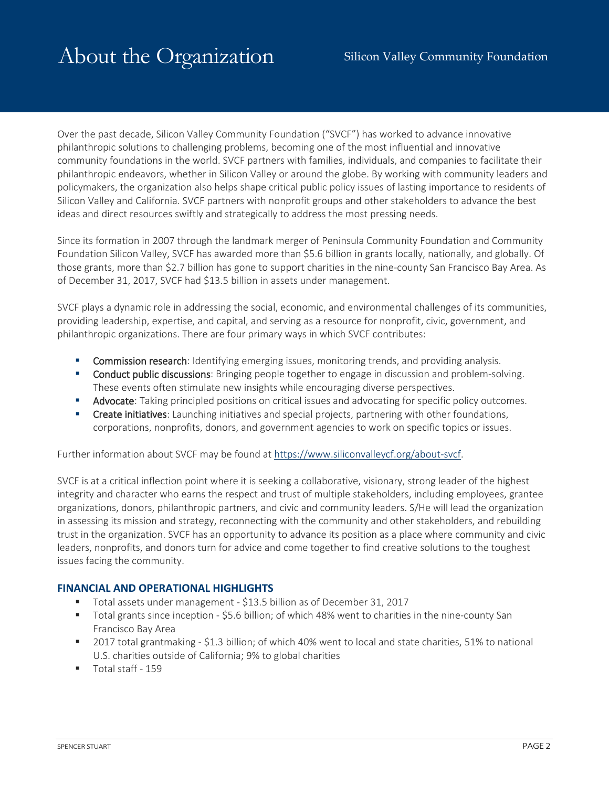Over the past decade, Silicon Valley Community Foundation ("SVCF") has worked to advance innovative philanthropic solutions to challenging problems, becoming one of the most influential and innovative community foundations in the world. SVCF partners with families, individuals, and companies to facilitate their philanthropic endeavors, whether in Silicon Valley or around the globe. By working with community leaders and policymakers, the organization also helps shape critical public policy issues of lasting importance to residents of Silicon Valley and California. SVCF partners with nonprofit groups and other stakeholders to advance the best ideas and direct resources swiftly and strategically to address the most pressing needs.

Since its formation in 2007 through the landmark merger of Peninsula Community Foundation and Community Foundation Silicon Valley, SVCF has awarded more than \$5.6 billion in grants locally, nationally, and globally. Of those grants, more than \$2.7 billion has gone to support charities in the nine-county San Francisco Bay Area. As of December 31, 2017, SVCF had \$13.5 billion in assets under management.

SVCF plays a dynamic role in addressing the social, economic, and environmental challenges of its communities, providing leadership, expertise, and capital, and serving as a resource for nonprofit, civic, government, and philanthropic organizations. There are four primary ways in which SVCF contributes:

- **Commission research**: Identifying emerging issues, monitoring trends, and providing analysis.
- **Conduct public discussions**: Bringing people together to engage in discussion and problem-solving. These events often stimulate new insights while encouraging diverse perspectives.
- **Advocate**: Taking principled positions on critical issues and advocating for specific policy outcomes.
- **Create initiatives**: Launching initiatives and special projects, partnering with other foundations, corporations, nonprofits, donors, and government agencies to work on specific topics or issues.

Further information about SVCF may be found at [https://www.siliconvalleycf.org/about-svcf.](https://www.siliconvalleycf.org/about-svcf)

SVCF is at a critical inflection point where it is seeking a collaborative, visionary, strong leader of the highest integrity and character who earns the respect and trust of multiple stakeholders, including employees, grantee organizations, donors, philanthropic partners, and civic and community leaders. S/He will lead the organization in assessing its mission and strategy, reconnecting with the community and other stakeholders, and rebuilding trust in the organization. SVCF has an opportunity to advance its position as a place where community and civic leaders, nonprofits, and donors turn for advice and come together to find creative solutions to the toughest issues facing the community.

#### **FINANCIAL AND OPERATIONAL HIGHLIGHTS**

- Total assets under management \$13.5 billion as of December 31, 2017
- Total grants since inception \$5.6 billion; of which 48% went to charities in the nine-county San Francisco Bay Area
- 2017 total grantmaking \$1.3 billion; of which 40% went to local and state charities, 51% to national U.S. charities outside of California; 9% to global charities
- Total staff 159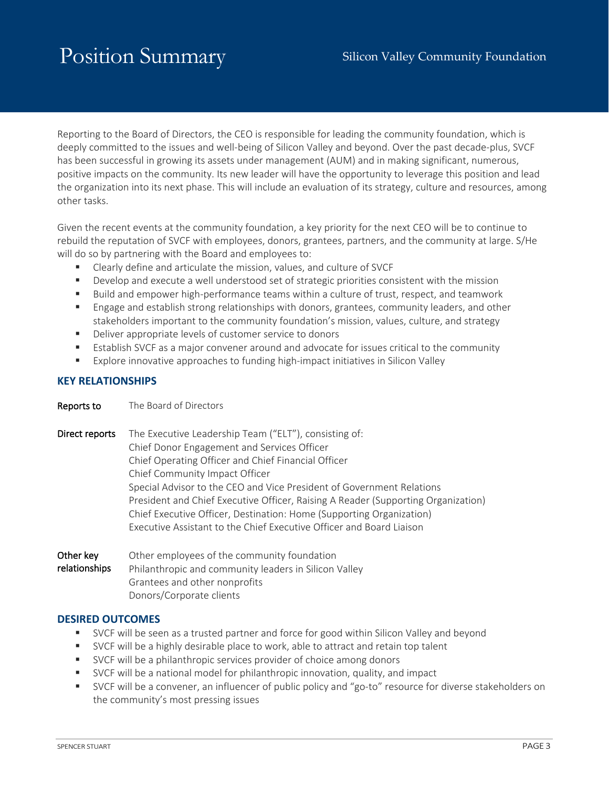# Position Summary Silicon Valley Community Foundation

Reporting to the Board of Directors, the CEO is responsible for leading the community foundation, which is deeply committed to the issues and well-being of Silicon Valley and beyond. Over the past decade-plus, SVCF has been successful in growing its assets under management (AUM) and in making significant, numerous, positive impacts on the community. Its new leader will have the opportunity to leverage this position and lead the organization into its next phase. This will include an evaluation of its strategy, culture and resources, among other tasks.

Given the recent events at the community foundation, a key priority for the next CEO will be to continue to rebuild the reputation of SVCF with employees, donors, grantees, partners, and the community at large. S/He will do so by partnering with the Board and employees to:

- Clearly define and articulate the mission, values, and culture of SVCF
- Develop and execute a well understood set of strategic priorities consistent with the mission
- Build and empower high-performance teams within a culture of trust, respect, and teamwork
- Engage and establish strong relationships with donors, grantees, community leaders, and other stakeholders important to the community foundation's mission, values, culture, and strategy
- Deliver appropriate levels of customer service to donors
- Establish SVCF as a major convener around and advocate for issues critical to the community
- Explore innovative approaches to funding high-impact initiatives in Silicon Valley

#### **KEY RELATIONSHIPS**

**Reports to** The Board of Directors

| neports to                 | THE DUCTU OF DIFFECTOLS                                                                                                                                                                                                                                                                                                                                                                                                                                                                                     |
|----------------------------|-------------------------------------------------------------------------------------------------------------------------------------------------------------------------------------------------------------------------------------------------------------------------------------------------------------------------------------------------------------------------------------------------------------------------------------------------------------------------------------------------------------|
| Direct reports             | The Executive Leadership Team ("ELT"), consisting of:<br>Chief Donor Engagement and Services Officer<br>Chief Operating Officer and Chief Financial Officer<br>Chief Community Impact Officer<br>Special Advisor to the CEO and Vice President of Government Relations<br>President and Chief Executive Officer, Raising A Reader (Supporting Organization)<br>Chief Executive Officer, Destination: Home (Supporting Organization)<br>Executive Assistant to the Chief Executive Officer and Board Liaison |
| Other key<br>relationships | Other employees of the community foundation<br>Philanthropic and community leaders in Silicon Valley<br>Grantees and other nonprofits                                                                                                                                                                                                                                                                                                                                                                       |

Donors/Corporate clients

#### **DESIRED OUTCOMES**

- SVCF will be seen as a trusted partner and force for good within Silicon Valley and beyond
- SVCF will be a highly desirable place to work, able to attract and retain top talent
- SVCF will be a philanthropic services provider of choice among donors
- SVCF will be a national model for philanthropic innovation, quality, and impact
- SVCF will be a convener, an influencer of public policy and "go-to" resource for diverse stakeholders on the community's most pressing issues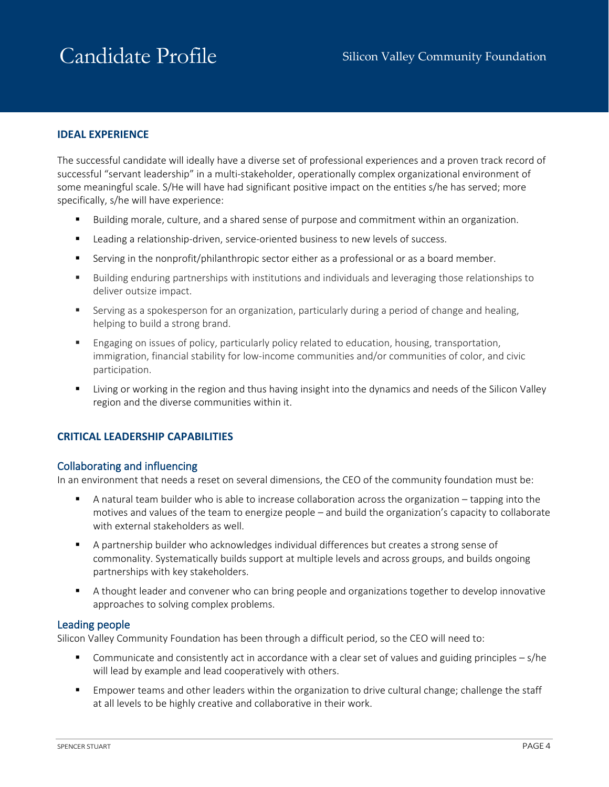# Candidate Profile Silicon Valley Community Foundation

### **IDEAL EXPERIENCE**

The successful candidate will ideally have a diverse set of professional experiences and a proven track record of successful "servant leadership" in a multi-stakeholder, operationally complex organizational environment of some meaningful scale. S/He will have had significant positive impact on the entities s/he has served; more specifically, s/he will have experience:

- Building morale, culture, and a shared sense of purpose and commitment within an organization.
- **EXECT** Leading a relationship-driven, service-oriented business to new levels of success.
- Serving in the nonprofit/philanthropic sector either as a professional or as a board member.
- Building enduring partnerships with institutions and individuals and leveraging those relationships to deliver outsize impact.
- **Serving as a spokesperson for an organization, particularly during a period of change and healing,** helping to build a strong brand.
- **Engaging on issues of policy, particularly policy related to education, housing, transportation,** immigration, financial stability for low-income communities and/or communities of color, and civic participation.
- Living or working in the region and thus having insight into the dynamics and needs of the Silicon Valley region and the diverse communities within it.

### **CRITICAL LEADERSHIP CAPABILITIES**

#### **Collaborating and influencing**

In an environment that needs a reset on several dimensions, the CEO of the community foundation must be:

- A natural team builder who is able to increase collaboration across the organization tapping into the motives and values of the team to energize people – and build the organization's capacity to collaborate with external stakeholders as well.
- A partnership builder who acknowledges individual differences but creates a strong sense of commonality. Systematically builds support at multiple levels and across groups, and builds ongoing partnerships with key stakeholders.
- A thought leader and convener who can bring people and organizations together to develop innovative approaches to solving complex problems.

#### **Leading people**

Silicon Valley Community Foundation has been through a difficult period, so the CEO will need to:

- Communicate and consistently act in accordance with a clear set of values and guiding principles  $s/h$ e will lead by example and lead cooperatively with others.
- **Empower teams and other leaders within the organization to drive cultural change; challenge the staff** at all levels to be highly creative and collaborative in their work.